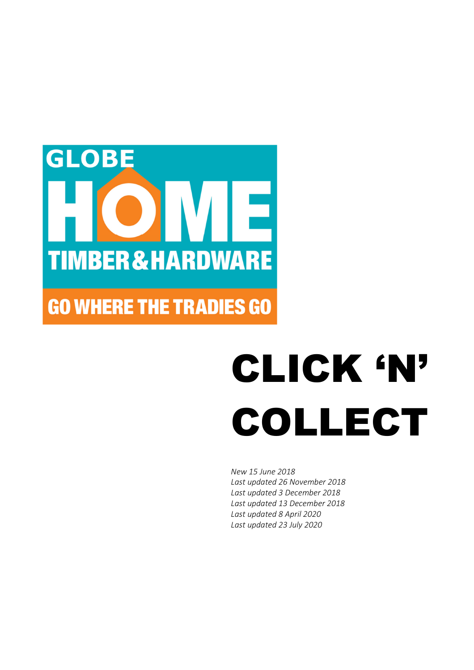

# **GO WHERE THE TRADIES GO**

# CLICK 'N' COLLECT

*New 15 June 2018 Last updated 26 November 2018 Last updated 3 December 2018 Last updated 13 December 2018 Last updated 8 April 2020 Last updated 23 July 2020*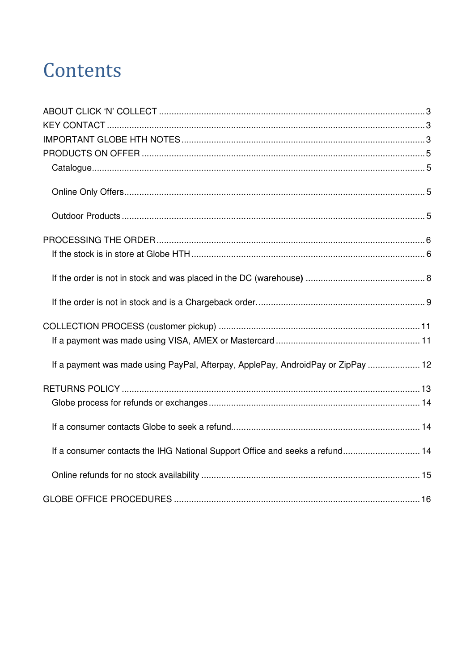# Contents

| If a payment was made using PayPal, Afterpay, ApplePay, AndroidPay or ZipPay  12 |  |
|----------------------------------------------------------------------------------|--|
|                                                                                  |  |
|                                                                                  |  |
|                                                                                  |  |
| If a consumer contacts the IHG National Support Office and seeks a refund 14     |  |
|                                                                                  |  |
|                                                                                  |  |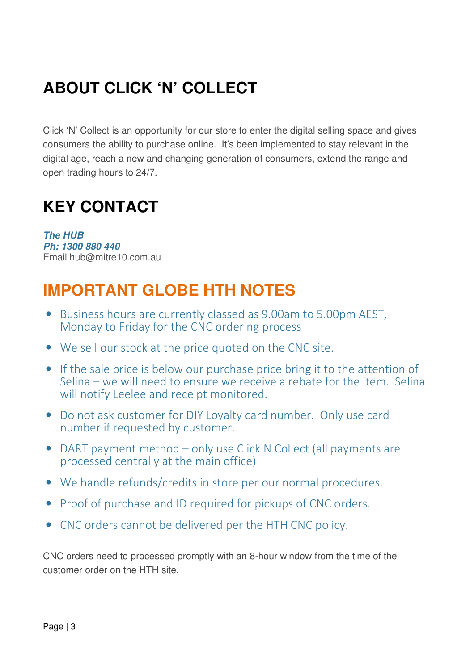# **ABOUT CLICK 'N' COLLECT**

Click 'N' Collect is an opportunity for our store to enter the digital selling space and gives consumers the ability to purchase online. It's been implemented to stay relevant in the digital age, reach a new and changing generation of consumers, extend the range and open trading hours to 24/7.

### **KEY CONTACT**

*The HUB Ph: 1300 880 440*  Email hub@mitre10.com.au

### **IMPORTANT GLOBE HTH NOTES**

- Business hours are currently classed as 9.00am to 5.00pm AEST, Monday to Friday for the CNC ordering process
- We sell our stock at the price quoted on the CNC site.
- If the sale price is below our purchase price bring it to the attention of Selina – we will need to ensure we receive a rebate for the item. Selina will notify Leelee and receipt monitored.
- Do not ask customer for DIY Loyalty card number. Only use card number if requested by customer.
- DART payment method only use Click N Collect (all payments are processed centrally at the main office)
- We handle refunds/credits in store per our normal procedures.
- Proof of purchase and ID required for pickups of CNC orders.
- CNC orders cannot be delivered per the HTH CNC policy.

CNC orders need to processed promptly with an 8-hour window from the time of the customer order on the HTH site.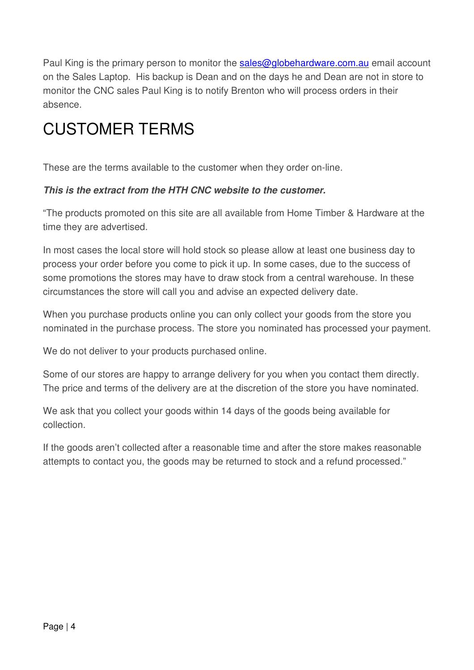Paul King is the primary person to monitor the sales@globehardware.com.au email account on the Sales Laptop. His backup is Dean and on the days he and Dean are not in store to monitor the CNC sales Paul King is to notify Brenton who will process orders in their absence.

### CUSTOMER TERMS

These are the terms available to the customer when they order on-line.

#### *This is the extract from the HTH CNC website to the customer.*

"The products promoted on this site are all available from Home Timber & Hardware at the time they are advertised.

In most cases the local store will hold stock so please allow at least one business day to process your order before you come to pick it up. In some cases, due to the success of some promotions the stores may have to draw stock from a central warehouse. In these circumstances the store will call you and advise an expected delivery date.

When you purchase products online you can only collect your goods from the store you nominated in the purchase process. The store you nominated has processed your payment.

We do not deliver to your products purchased online.

Some of our stores are happy to arrange delivery for you when you contact them directly. The price and terms of the delivery are at the discretion of the store you have nominated.

We ask that you collect your goods within 14 days of the goods being available for collection.

If the goods aren't collected after a reasonable time and after the store makes reasonable attempts to contact you, the goods may be returned to stock and a refund processed."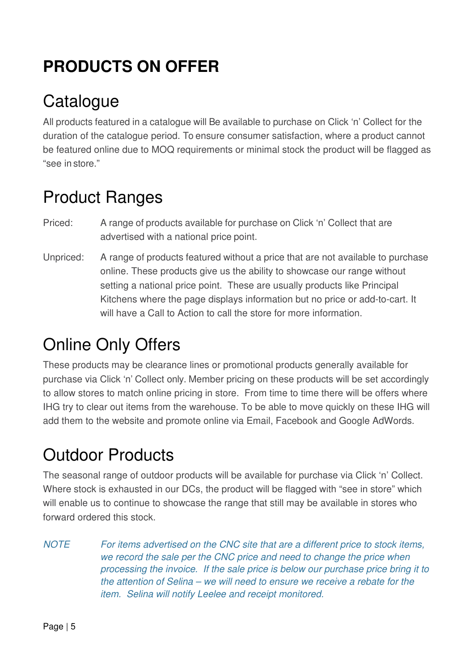# **PRODUCTS ON OFFER**

# **Catalogue**

All products featured in a catalogue will Be available to purchase on Click 'n' Collect for the duration of the catalogue period. To ensure consumer satisfaction, where a product cannot be featured online due to MOQ requirements or minimal stock the product will be flagged as "see in store."

### Product Ranges

- Priced: A range of products available for purchase on Click 'n' Collect that are advertised with a national price point.
- Unpriced: A range of products featured without a price that are not available to purchase online. These products give us the ability to showcase our range without setting a national price point. These are usually products like Principal Kitchens where the page displays information but no price or add-to-cart. It will have a Call to Action to call the store for more information.

# Online Only Offers

These products may be clearance lines or promotional products generally available for purchase via Click 'n' Collect only. Member pricing on these products will be set accordingly to allow stores to match online pricing in store. From time to time there will be offers where IHG try to clear out items from the warehouse. To be able to move quickly on these IHG will add them to the website and promote online via Email, Facebook and Google AdWords.

# Outdoor Products

The seasonal range of outdoor products will be available for purchase via Click 'n' Collect. Where stock is exhausted in our DCs, the product will be flagged with "see in store" which will enable us to continue to showcase the range that still may be available in stores who forward ordered this stock.

*NOTE For items advertised on the CNC site that are a different price to stock items, we record the sale per the CNC price and need to change the price when processing the invoice. If the sale price is below our purchase price bring it to the attention of Selina – we will need to ensure we receive a rebate for the item. Selina will notify Leelee and receipt monitored.*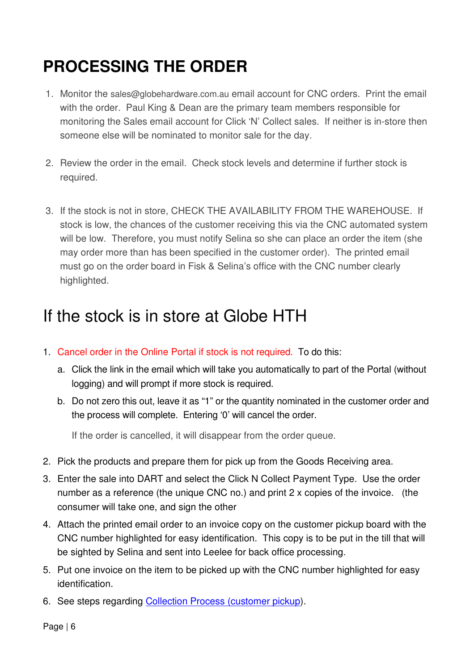# **PROCESSING THE ORDER**

- 1. Monitor the sales@globehardware.com.au email account for CNC orders. Print the email with the order. Paul King & Dean are the primary team members responsible for monitoring the Sales email account for Click 'N' Collect sales. If neither is in-store then someone else will be nominated to monitor sale for the day.
- 2. Review the order in the email. Check stock levels and determine if further stock is required.
- 3. If the stock is not in store, CHECK THE AVAILABILITY FROM THE WAREHOUSE. If stock is low, the chances of the customer receiving this via the CNC automated system will be low. Therefore, you must notify Selina so she can place an order the item (she may order more than has been specified in the customer order). The printed email must go on the order board in Fisk & Selina's office with the CNC number clearly highlighted.

### If the stock is in store at Globe HTH

- 1. Cancel order in the Online Portal if stock is not required. To do this:
	- a. Click the link in the email which will take you automatically to part of the Portal (without logging) and will prompt if more stock is required.
	- b. Do not zero this out, leave it as "1" or the quantity nominated in the customer order and the process will complete. Entering '0' will cancel the order.

If the order is cancelled, it will disappear from the order queue.

- 2. Pick the products and prepare them for pick up from the Goods Receiving area.
- 3. Enter the sale into DART and select the Click N Collect Payment Type. Use the order number as a reference (the unique CNC no.) and print 2 x copies of the invoice. (the consumer will take one, and sign the other
- 4. Attach the printed email order to an invoice copy on the customer pickup board with the CNC number highlighted for easy identification. This copy is to be put in the till that will be sighted by Selina and sent into Leelee for back office processing.
- 5. Put one invoice on the item to be picked up with the CNC number highlighted for easy identification.
- 6. See steps regarding Collection Process (customer pickup).

Page | 6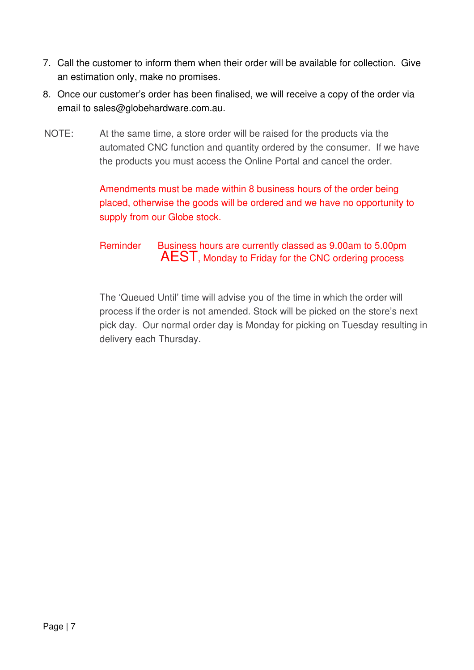- 7. Call the customer to inform them when their order will be available for collection. Give an estimation only, make no promises.
- 8. Once our customer's order has been finalised, we will receive a copy of the order via email to sales@globehardware.com.au.
- NOTE: At the same time, a store order will be raised for the products via the automated CNC function and quantity ordered by the consumer. If we have the products you must access the Online Portal and cancel the order.

#### Amendments must be made within 8 business hours of the order being placed, otherwise the goods will be ordered and we have no opportunity to supply from our Globe stock.

#### Reminder Business hours are currently classed as 9.00am to 5.00pm AEST, Monday to Friday for the CNC ordering process

The 'Queued Until' time will advise you of the time in which the order will process if the order is not amended. Stock will be picked on the store's next pick day. Our normal order day is Monday for picking on Tuesday resulting in delivery each Thursday.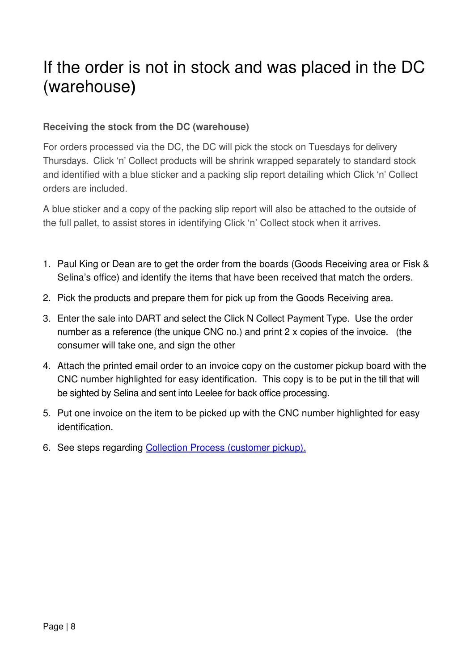### If the order is not in stock and was placed in the DC (warehouse**)**

#### **Receiving the stock from the DC (warehouse)**

For orders processed via the DC, the DC will pick the stock on Tuesdays for delivery Thursdays. Click 'n' Collect products will be shrink wrapped separately to standard stock and identified with a blue sticker and a packing slip report detailing which Click 'n' Collect orders are included.

A blue sticker and a copy of the packing slip report will also be attached to the outside of the full pallet, to assist stores in identifying Click 'n' Collect stock when it arrives.

- 1. Paul King or Dean are to get the order from the boards (Goods Receiving area or Fisk & Selina's office) and identify the items that have been received that match the orders.
- 2. Pick the products and prepare them for pick up from the Goods Receiving area.
- 3. Enter the sale into DART and select the Click N Collect Payment Type. Use the order number as a reference (the unique CNC no.) and print 2 x copies of the invoice. (the consumer will take one, and sign the other
- 4. Attach the printed email order to an invoice copy on the customer pickup board with the CNC number highlighted for easy identification. This copy is to be put in the till that will be sighted by Selina and sent into Leelee for back office processing.
- 5. Put one invoice on the item to be picked up with the CNC number highlighted for easy identification.
- 6. See steps regarding Collection Process (customer pickup).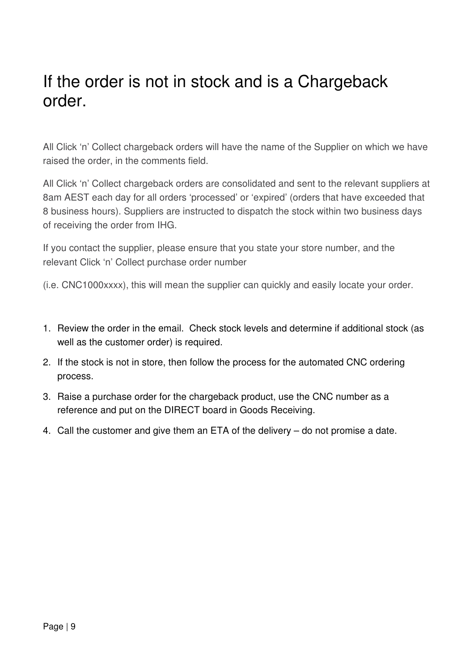### If the order is not in stock and is a Chargeback order.

All Click 'n' Collect chargeback orders will have the name of the Supplier on which we have raised the order, in the comments field.

All Click 'n' Collect chargeback orders are consolidated and sent to the relevant suppliers at 8am AEST each day for all orders 'processed' or 'expired' (orders that have exceeded that 8 business hours). Suppliers are instructed to dispatch the stock within two business days of receiving the order from IHG.

If you contact the supplier, please ensure that you state your store number, and the relevant Click 'n' Collect purchase order number

(i.e. CNC1000xxxx), this will mean the supplier can quickly and easily locate your order.

- 1. Review the order in the email. Check stock levels and determine if additional stock (as well as the customer order) is required.
- 2. If the stock is not in store, then follow the process for the automated CNC ordering process.
- 3. Raise a purchase order for the chargeback product, use the CNC number as a reference and put on the DIRECT board in Goods Receiving.
- 4. Call the customer and give them an ETA of the delivery do not promise a date.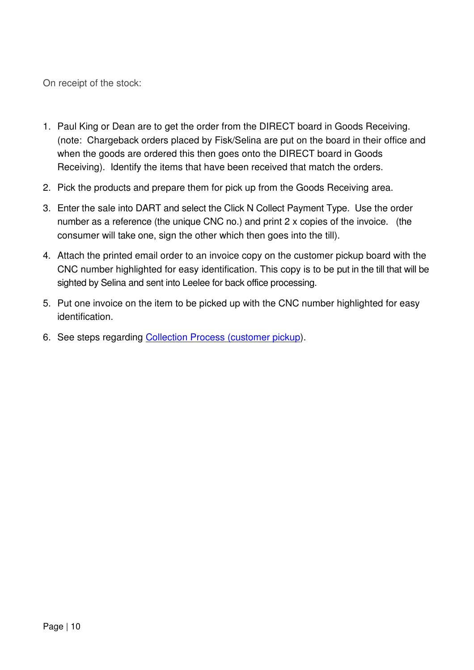On receipt of the stock:

- 1. Paul King or Dean are to get the order from the DIRECT board in Goods Receiving. (note: Chargeback orders placed by Fisk/Selina are put on the board in their office and when the goods are ordered this then goes onto the DIRECT board in Goods Receiving). Identify the items that have been received that match the orders.
- 2. Pick the products and prepare them for pick up from the Goods Receiving area.
- 3. Enter the sale into DART and select the Click N Collect Payment Type. Use the order number as a reference (the unique CNC no.) and print 2 x copies of the invoice. (the consumer will take one, sign the other which then goes into the till).
- 4. Attach the printed email order to an invoice copy on the customer pickup board with the CNC number highlighted for easy identification. This copy is to be put in the till that will be sighted by Selina and sent into Leelee for back office processing.
- 5. Put one invoice on the item to be picked up with the CNC number highlighted for easy identification.
- 6. See steps regarding Collection Process (customer pickup).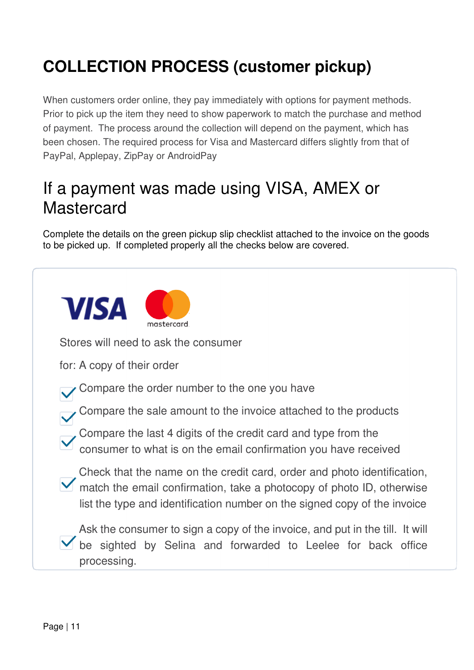# **COLLECTION PROCESS (customer pickup)**

When customers order online, they pay immediately with options for payment methods. Prior to pick up the item they need to show paperwork to match the purchase and method of payment. The process around the collection will depend on the payment, which has been chosen. The required process for Visa and Mastercard differs slightly from that of PayPal, Applepay, ZipPay or AndroidPay

### If a payment was made using VISA, AMEX or **Mastercard**

Complete the details on the green pickup slip checklist attached to the invoice on the goods to be picked up. If completed properly all the checks below are covered.

| <b>VISA</b> | mastercard                                                                                                                                                                                                                    |
|-------------|-------------------------------------------------------------------------------------------------------------------------------------------------------------------------------------------------------------------------------|
|             | Stores will need to ask the consumer                                                                                                                                                                                          |
|             | for: A copy of their order                                                                                                                                                                                                    |
|             | Compare the order number to the one you have                                                                                                                                                                                  |
|             | Compare the sale amount to the invoice attached to the products                                                                                                                                                               |
|             | Compare the last 4 digits of the credit card and type from the<br>consumer to what is on the email confirmation you have received                                                                                             |
|             | Check that the name on the credit card, order and photo identification,<br>match the email confirmation, take a photocopy of photo ID, otherwise<br>list the type and identification number on the signed copy of the invoice |
|             | Ask the consumer to sign a copy of the invoice, and put in the till. It will<br>be sighted by Selina and forwarded to Leelee for back office<br>processing.                                                                   |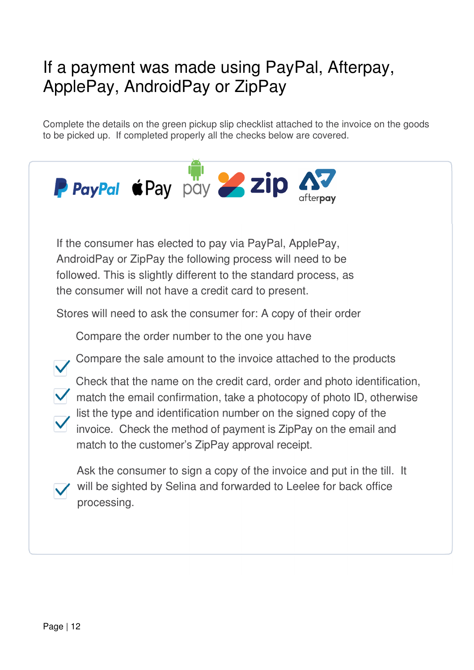### If a payment was made using PayPal, Afterpay, ApplePay, AndroidPay or ZipPay

Complete the details on the green pickup slip checklist attached to the invoice on the goods to be picked up. If completed properly all the checks below are covered.

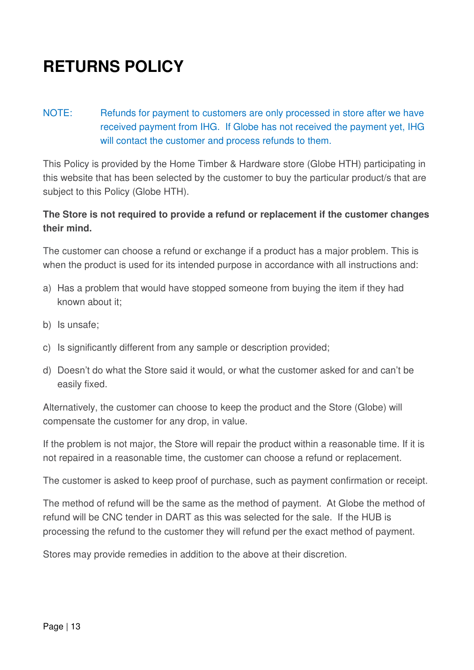# **RETURNS POLICY**

NOTE: Refunds for payment to customers are only processed in store after we have received payment from IHG. If Globe has not received the payment yet, IHG will contact the customer and process refunds to them.

This Policy is provided by the Home Timber & Hardware store (Globe HTH) participating in this website that has been selected by the customer to buy the particular product/s that are subject to this Policy (Globe HTH).

#### **The Store is not required to provide a refund or replacement if the customer changes their mind.**

The customer can choose a refund or exchange if a product has a major problem. This is when the product is used for its intended purpose in accordance with all instructions and:

- a) Has a problem that would have stopped someone from buying the item if they had known about it;
- b) Is unsafe;
- c) Is significantly different from any sample or description provided;
- d) Doesn't do what the Store said it would, or what the customer asked for and can't be easily fixed.

Alternatively, the customer can choose to keep the product and the Store (Globe) will compensate the customer for any drop, in value.

If the problem is not major, the Store will repair the product within a reasonable time. If it is not repaired in a reasonable time, the customer can choose a refund or replacement.

The customer is asked to keep proof of purchase, such as payment confirmation or receipt.

The method of refund will be the same as the method of payment. At Globe the method of refund will be CNC tender in DART as this was selected for the sale. If the HUB is processing the refund to the customer they will refund per the exact method of payment.

Stores may provide remedies in addition to the above at their discretion.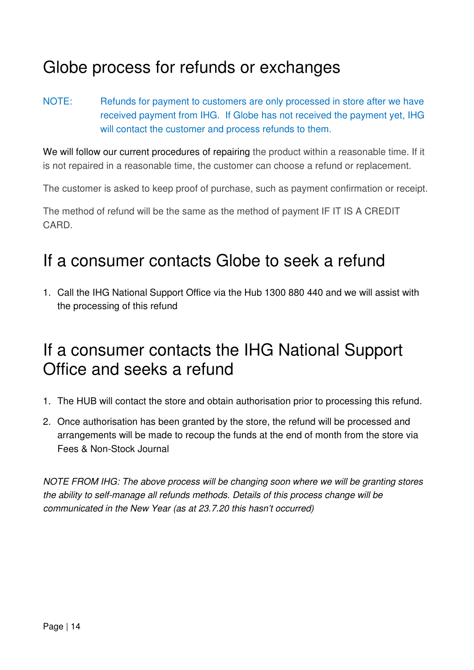### Globe process for refunds or exchanges

NOTE: Refunds for payment to customers are only processed in store after we have received payment from IHG. If Globe has not received the payment yet, IHG will contact the customer and process refunds to them.

We will follow our current procedures of repairing the product within a reasonable time. If it is not repaired in a reasonable time, the customer can choose a refund or replacement.

The customer is asked to keep proof of purchase, such as payment confirmation or receipt.

The method of refund will be the same as the method of payment IF IT IS A CREDIT CARD.

### If a consumer contacts Globe to seek a refund

1. Call the IHG National Support Office via the Hub 1300 880 440 and we will assist with the processing of this refund

### If a consumer contacts the IHG National Support Office and seeks a refund

- 1. The HUB will contact the store and obtain authorisation prior to processing this refund.
- 2. Once authorisation has been granted by the store, the refund will be processed and arrangements will be made to recoup the funds at the end of month from the store via Fees & Non-Stock Journal

*NOTE FROM IHG: The above process will be changing soon where we will be granting stores the ability to self-manage all refunds methods. Details of this process change will be communicated in the New Year (as at 23.7.20 this hasn't occurred)*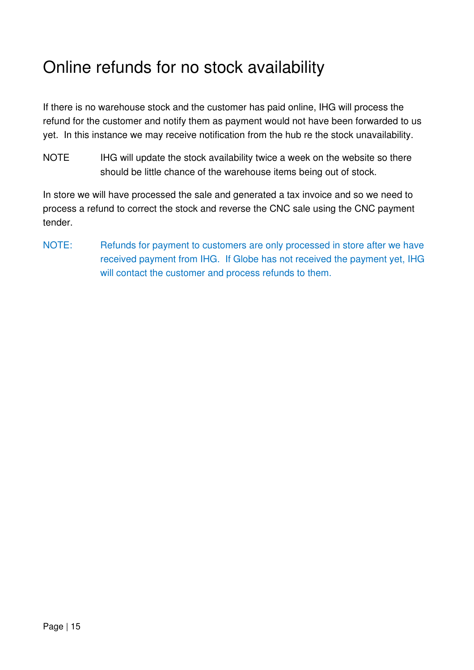### Online refunds for no stock availability

If there is no warehouse stock and the customer has paid online, IHG will process the refund for the customer and notify them as payment would not have been forwarded to us yet. In this instance we may receive notification from the hub re the stock unavailability.

NOTE IHG will update the stock availability twice a week on the website so there should be little chance of the warehouse items being out of stock.

In store we will have processed the sale and generated a tax invoice and so we need to process a refund to correct the stock and reverse the CNC sale using the CNC payment tender.

NOTE: Refunds for payment to customers are only processed in store after we have received payment from IHG. If Globe has not received the payment yet, IHG will contact the customer and process refunds to them.